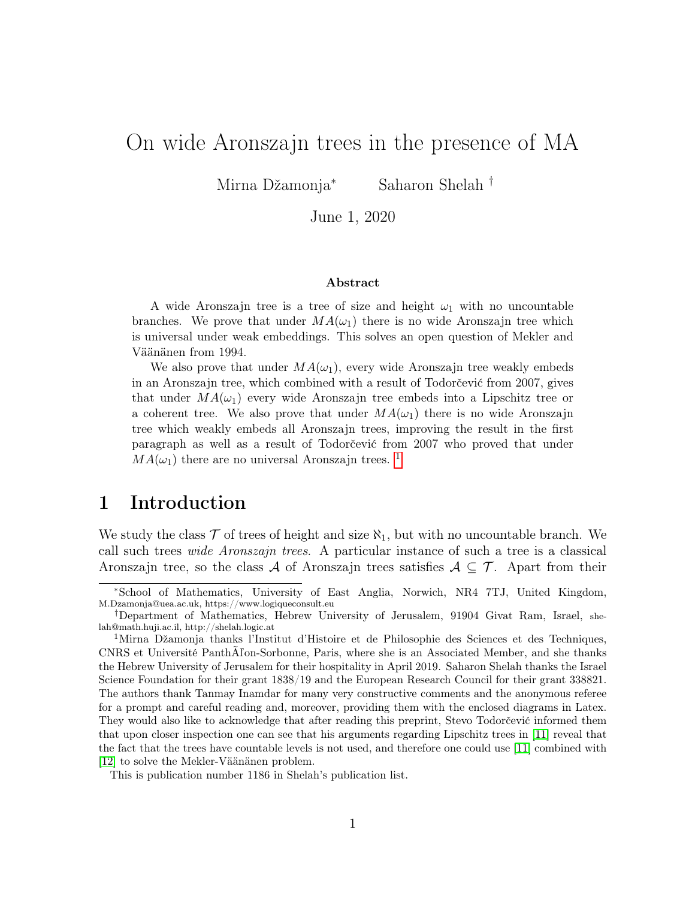## On wide Aronszajn trees in the presence of MA

Mirna Džamonja<sup>∗</sup> Saharon Shelah †

June 1, 2020

#### Abstract

A wide Aronszajn tree is a tree of size and height  $\omega_1$  with no uncountable branches. We prove that under  $MA(\omega_1)$  there is no wide Aronszajn tree which is universal under weak embeddings. This solves an open question of Mekler and Väänänen from 1994.

We also prove that under  $MA(\omega_1)$ , every wide Aronszajn tree weakly embeds in an Aronszajn tree, which combined with a result of Todorčević from 2007, gives that under  $MA(\omega_1)$  every wide Aronszajn tree embeds into a Lipschitz tree or a coherent tree. We also prove that under  $MA(\omega_1)$  there is no wide Aronszajn tree which weakly embeds all Aronszajn trees, improving the result in the first paragraph as well as a result of Todorčević from 2007 who proved that under  $MA(\omega_1)$  $MA(\omega_1)$  $MA(\omega_1)$  there are no universal Aronszajn trees.<sup>1</sup>

## 1 Introduction

We study the class  $\mathcal T$  of trees of height and size  $\aleph_1$ , but with no uncountable branch. We call such trees wide Aronszajn trees. A particular instance of such a tree is a classical Aronszajn tree, so the class A of Aronszajn trees satisfies  $A \subseteq \mathcal{T}$ . Apart from their

<sup>∗</sup>School of Mathematics, University of East Anglia, Norwich, NR4 7TJ, United Kingdom, M.Dzamonja@uea.ac.uk, https://www.logiqueconsult.eu

<sup>†</sup>Department of Mathematics, Hebrew University of Jerusalem, 91904 Givat Ram, Israel, shelah@math.huji.ac.il, http://shelah.logic.at

<span id="page-0-0"></span><sup>1</sup>Mirna Džamonja thanks l'Institut d'Histoire et de Philosophie des Sciences et des Techniques, CNRS et Université PanthÃľon-Sorbonne, Paris, where she is an Associated Member, and she thanks the Hebrew University of Jerusalem for their hospitality in April 2019. Saharon Shelah thanks the Israel Science Foundation for their grant 1838/19 and the European Research Council for their grant 338821. The authors thank Tanmay Inamdar for many very constructive comments and the anonymous referee for a prompt and careful reading and, moreover, providing them with the enclosed diagrams in Latex. They would also like to acknowledge that after reading this preprint, Stevo Todorčević informed them that upon closer inspection one can see that his arguments regarding Lipschitz trees in [\[11\]](#page-15-0) reveal that the fact that the trees have countable levels is not used, and therefore one could use [\[11\]](#page-15-0) combined with [\[12\]](#page-15-1) to solve the Mekler-Väänänen problem.

This is publication number 1186 in Shelah's publication list.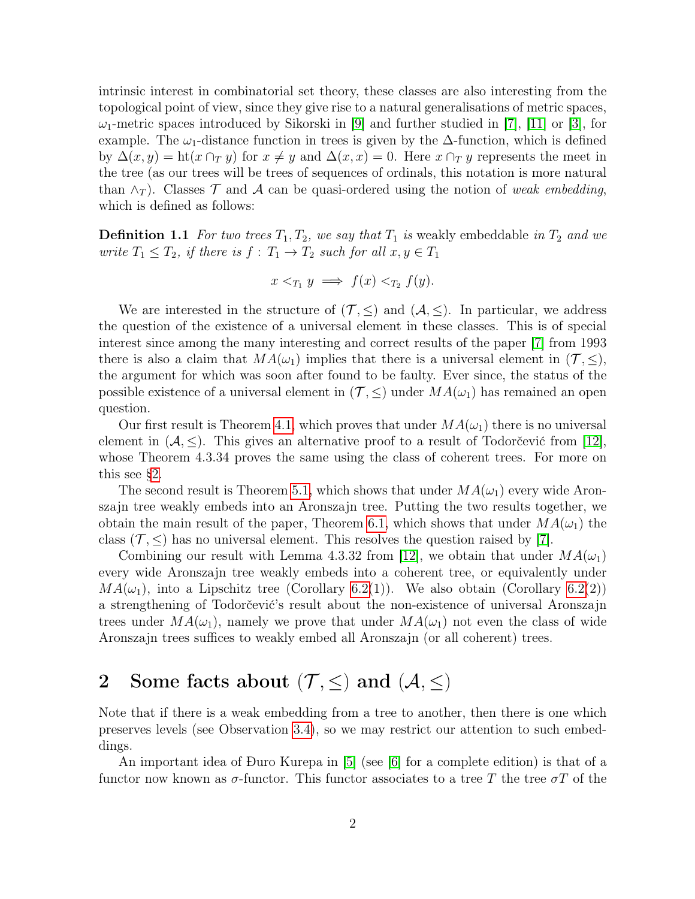intrinsic interest in combinatorial set theory, these classes are also interesting from the topological point of view, since they give rise to a natural generalisations of metric spaces,  $\omega_1$ -metric spaces introduced by Sikorski in [\[9\]](#page-15-2) and further studied in [\[7\]](#page-15-3), [\[11\]](#page-15-0) or [\[3\]](#page-14-0), for example. The  $\omega_1$ -distance function in trees is given by the  $\Delta$ -function, which is defined by  $\Delta(x, y) = \text{ht}(x \cap_T y)$  for  $x \neq y$  and  $\Delta(x, x) = 0$ . Here  $x \cap_T y$  represents the meet in the tree (as our trees will be trees of sequences of ordinals, this notation is more natural than  $\wedge_T$ ). Classes T and A can be quasi-ordered using the notion of weak embedding, which is defined as follows:

**Definition 1.1** For two trees  $T_1, T_2$ , we say that  $T_1$  is weakly embeddable in  $T_2$  and we write  $T_1 \leq T_2$ , if there is  $f: T_1 \to T_2$  such for all  $x, y \in T_1$ 

$$
x <_{T_1} y \implies f(x) <_{T_2} f(y).
$$

We are interested in the structure of  $(\mathcal{T}, \leq)$  and  $(\mathcal{A}, \leq)$ . In particular, we address the question of the existence of a universal element in these classes. This is of special interest since among the many interesting and correct results of the paper [\[7\]](#page-15-3) from 1993 there is also a claim that  $MA(\omega_1)$  implies that there is a universal element in  $(\mathcal{T}, \leq),$ the argument for which was soon after found to be faulty. Ever since, the status of the possible existence of a universal element in  $(\mathcal{T}, \leq)$  under  $MA(\omega_1)$  has remained an open question.

Our first result is Theorem [4.1,](#page-4-0) which proves that under  $MA(\omega_1)$  there is no universal element in  $(A, \leq)$ . This gives an alternative proof to a result of Todorčević from [\[12\]](#page-15-1), whose Theorem 4.3.34 proves the same using the class of coherent trees. For more on this see [§2.](#page-1-0)

The second result is Theorem [5.1,](#page-8-0) which shows that under  $MA(\omega_1)$  every wide Aronszajn tree weakly embeds into an Aronszajn tree. Putting the two results together, we obtain the main result of the paper, Theorem [6.1,](#page-14-1) which shows that under  $MA(\omega_1)$  the class ( $\mathcal{T}, \leq$ ) has no universal element. This resolves the question raised by [\[7\]](#page-15-3).

Combining our result with Lemma 4.3.32 from [\[12\]](#page-15-1), we obtain that under  $MA(\omega_1)$ every wide Aronszajn tree weakly embeds into a coherent tree, or equivalently under  $MA(\omega_1)$ , into a Lipschitz tree (Corollary [6.2\(](#page-14-2)1)). We also obtain (Corollary 6.2(2)) a strengthening of Todorčević's result about the non-existence of universal Aronszajn trees under  $MA(\omega_1)$ , namely we prove that under  $MA(\omega_1)$  not even the class of wide Aronszajn trees suffices to weakly embed all Aronszajn (or all coherent) trees.

# <span id="page-1-0"></span>2 Some facts about  $(\mathcal{T}, \leq)$  and  $(\mathcal{A}, \leq)$

Note that if there is a weak embedding from a tree to another, then there is one which preserves levels (see Observation [3.4\)](#page-4-1), so we may restrict our attention to such embeddings.

An important idea of Ðuro Kurepa in [\[5\]](#page-15-4) (see [\[6\]](#page-15-5) for a complete edition) is that of a functor now known as  $\sigma$ -functor. This functor associates to a tree T the tree  $\sigma$ T of the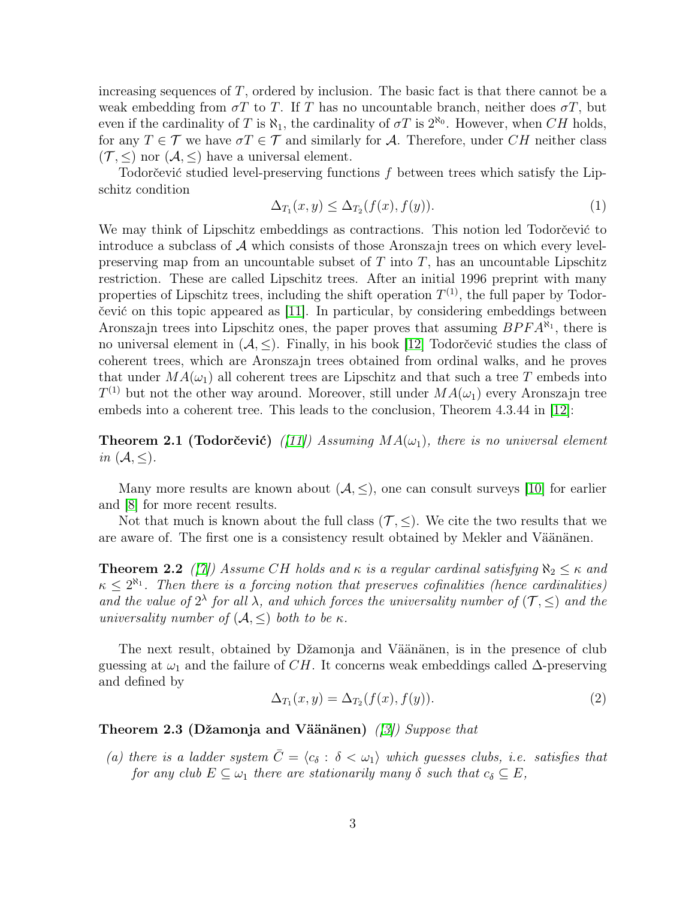increasing sequences of T, ordered by inclusion. The basic fact is that there cannot be a weak embedding from  $\sigma T$  to T. If T has no uncountable branch, neither does  $\sigma T$ , but even if the cardinality of T is  $\aleph_1$ , the cardinality of  $\sigma T$  is  $2^{\aleph_0}$ . However, when CH holds, for any  $T \in \mathcal{T}$  we have  $\sigma T \in \mathcal{T}$  and similarly for A. Therefore, under CH neither class  $(\mathcal{T}, \leq)$  nor  $(\mathcal{A}, \leq)$  have a universal element.

Todorčević studied level-preserving functions f between trees which satisfy the Lipschitz condition

$$
\Delta_{T_1}(x, y) \le \Delta_{T_2}(f(x), f(y)).\tag{1}
$$

We may think of Lipschitz embeddings as contractions. This notion led Todorčević to introduce a subclass of  $A$  which consists of those Aronszajn trees on which every levelpreserving map from an uncountable subset of  $T$  into  $T$ , has an uncountable Lipschitz restriction. These are called Lipschitz trees. After an initial 1996 preprint with many properties of Lipschitz trees, including the shift operation  $T^{(1)}$ , the full paper by Todorčević on this topic appeared as [\[11\]](#page-15-0). In particular, by considering embeddings between Aronszajn trees into Lipschitz ones, the paper proves that assuming  $BPRA^{\aleph_1}$ , there is no universal element in  $(A, \leq)$ . Finally, in his book [\[12\]](#page-15-1) Todorčević studies the class of coherent trees, which are Aronszajn trees obtained from ordinal walks, and he proves that under  $MA(\omega_1)$  all coherent trees are Lipschitz and that such a tree T embeds into  $T^{(1)}$  but not the other way around. Moreover, still under  $MA(\omega_1)$  every Aronszajn tree embeds into a coherent tree. This leads to the conclusion, Theorem 4.3.44 in [\[12\]](#page-15-1):

<span id="page-2-0"></span>**Theorem 2.1 (Todorčević)** ([\[11\]](#page-15-0)) Assuming  $MA(\omega_1)$ , there is no universal element in  $(\mathcal{A}, \leq)$ .

Many more results are known about  $(A, \leq)$ , one can consult surveys [\[10\]](#page-15-6) for earlier and [\[8\]](#page-15-7) for more recent results.

Not that much is known about the full class  $(\mathcal{T}, \leq)$ . We cite the two results that we are aware of. The first one is a consistency result obtained by Mekler and Väänänen.

**Theorem 2.2** ([\[7\]](#page-15-3)) Assume CH holds and  $\kappa$  is a regular cardinal satisfying  $\aleph_2 \leq \kappa$  and  $\kappa \leq 2^{\aleph_1}$ . Then there is a forcing notion that preserves cofinalities (hence cardinalities) and the value of  $2^{\lambda}$  for all  $\lambda$ , and which forces the universality number of  $(\mathcal{T}, \leq)$  and the universality number of  $(A, \leq)$  both to be  $\kappa$ .

The next result, obtained by Džamonja and Väänänen, is in the presence of club guessing at  $\omega_1$  and the failure of CH. It concerns weak embeddings called  $\Delta$ -preserving and defined by

$$
\Delta_{T_1}(x,y) = \Delta_{T_2}(f(x), f(y)).\tag{2}
$$

### Theorem 2.3 (Džamonja and Väänänen) ([\[3\]](#page-14-0)) Suppose that

(a) there is a ladder system  $\overline{C} = \langle c_{\delta} : \delta < \omega_1 \rangle$  which guesses clubs, i.e. satisfies that for any club  $E \subseteq \omega_1$  there are stationarily many  $\delta$  such that  $c_{\delta} \subseteq E$ ,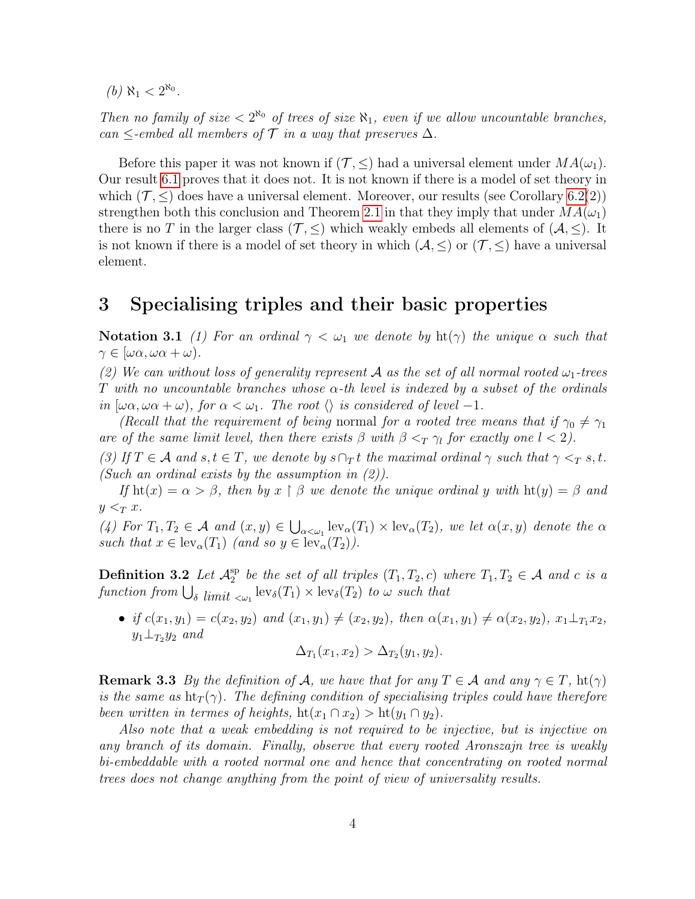(*b*)  $\aleph_1 < 2^{\aleph_0}$ .

Then no family of size  $\langle 2^{R_0} \rangle$  of trees of size  $R_1$ , even if we allow uncountable branches, can  $\leq$ -embed all members of  $\mathcal T$  in a way that preserves  $\Delta$ .

Before this paper it was not known if  $(\mathcal{T}, \leq)$  had a universal element under  $MA(\omega_1)$ . Our result [6.1](#page-14-1) proves that it does not. It is not known if there is a model of set theory in which  $(\mathcal{T}, \leq)$  does have a universal element. Moreover, our results (see Corollary [6.2\(](#page-14-2)2)) strengthen both this conclusion and Theorem [2.1](#page-2-0) in that they imply that under  $MA(\omega_1)$ there is no T in the larger class ( $\mathcal{T}, \leq$ ) which weakly embeds all elements of ( $\mathcal{A}, \leq$ ). It is not known if there is a model of set theory in which  $(A, \leq)$  or  $(\mathcal{T}, \leq)$  have a universal element.

### 3 Specialising triples and their basic properties

Notation 3.1 (1) For an ordinal  $\gamma < \omega_1$  we denote by ht( $\gamma$ ) the unique  $\alpha$  such that  $\gamma \in [\omega \alpha, \omega \alpha + \omega).$ 

(2) We can without loss of generality represent A as the set of all normal rooted  $\omega_1$ -trees T with no uncountable branches whose  $\alpha$ -th level is indexed by a subset of the ordinals in  $[\omega \alpha, \omega \alpha + \omega]$ , for  $\alpha < \omega_1$ . The root  $\langle \rangle$  is considered of level -1.

(Recall that the requirement of being normal for a rooted tree means that if  $\gamma_0 \neq \gamma_1$ are of the same limit level, then there exists  $\beta$  with  $\beta <_T \gamma_l$  for exactly one  $l < 2$ ).

(3) If  $T \in \mathcal{A}$  and  $s, t \in T$ , we denote by  $s \cap_T t$  the maximal ordinal  $\gamma$  such that  $\gamma \leq_T s, t$ . (Such an ordinal exists by the assumption in  $(2)$ ).

If  $\text{ht}(x) = \alpha > \beta$ , then by  $x \restriction \beta$  we denote the unique ordinal y with  $\text{ht}(y) = \beta$  and  $y <_T x$ .

(4) For  $T_1, T_2 \in \mathcal{A}$  and  $(x, y) \in \bigcup_{\alpha < \omega_1} \text{lev}_{\alpha}(T_1) \times \text{lev}_{\alpha}(T_2)$ , we let  $\alpha(x, y)$  denote the  $\alpha$ such that  $x \in \text{lev}_{\alpha}(T_1)$  (and so  $y \in \text{lev}_{\alpha}(T_2)$ ).

<span id="page-3-0"></span>Definition 3.2 Let  $\mathcal{A}_2^{\text{sp}}$  $_2^{\text{sp}}$  be the set of all triples  $(T_1, T_2, c)$  where  $T_1, T_2 \in \mathcal{A}$  and c is a function from  $\bigcup_{\delta}\lim_{i\in\omega_1}\text{lev}_{\delta}(T_1)\times\text{lev}_{\delta}(T_2)$  to  $\omega$  such that

• if  $c(x_1, y_1) = c(x_2, y_2)$  and  $(x_1, y_1) \neq (x_2, y_2)$ , then  $\alpha(x_1, y_1) \neq \alpha(x_2, y_2)$ ,  $x_1 \perp_{T_1} x_2$ ,  $y_1 \perp_{T_2} y_2$  and

$$
\Delta_{T_1}(x_1, x_2) > \Delta_{T_2}(y_1, y_2).
$$

**Remark 3.3** By the definition of A, we have that for any  $T \in \mathcal{A}$  and any  $\gamma \in T$ , ht $(\gamma)$ is the same as  $\text{ht}_T(\gamma)$ . The defining condition of specialising triples could have therefore been written in termes of heights,  $\text{ht}(x_1 \cap x_2) > \text{ht}(y_1 \cap y_2)$ .

Also note that a weak embedding is not required to be injective, but is injective on any branch of its domain. Finally, observe that every rooted Aronszajn tree is weakly bi-embeddable with a rooted normal one and hence that concentrating on rooted normal trees does not change anything from the point of view of universality results.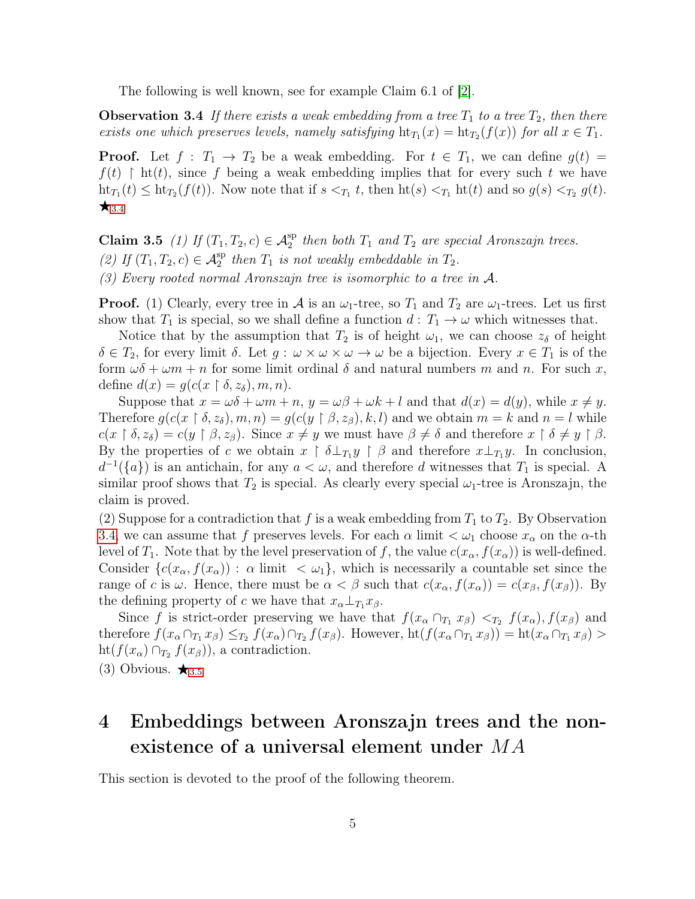The following is well known, see for example Claim 6.1 of [\[2\]](#page-14-3).

<span id="page-4-1"></span>**Observation 3.4** If there exists a weak embedding from a tree  $T_1$  to a tree  $T_2$ , then there exists one which preserves levels, namely satisfying  $\operatorname{ht}_{T_1}(x) = \operatorname{ht}_{T_2}(f(x))$  for all  $x \in T_1$ .

**Proof.** Let  $f : T_1 \to T_2$  be a weak embedding. For  $t \in T_1$ , we can define  $g(t) =$  $f(t)$  | ht(t), since f being a weak embedding implies that for every such t we have  $\mathrm{ht}_{T_1}(t) \leq \mathrm{ht}_{T_2}(f(t))$ . Now note that if  $s <_{T_1} t$ , then  $\mathrm{ht}(s) <_{T_1} \mathrm{ht}(t)$  and so  $g(s) <_{T_2} g(t)$ .  $\star$ <sub>[3](#page-4-1).4</sub>

<span id="page-4-2"></span>Claim 3.5 (1) If  $(T_1, T_2, c) \in A_2^{\text{sp}}$  then both  $T_1$  and  $T_2$  are special Aronszajn trees. (2) If  $(T_1, T_2, c) \in \mathcal{A}_2^{\text{sp}}$  then  $T_1$  is not weakly embeddable in  $T_2$ . (3) Every rooted normal Aronszajn tree is isomorphic to a tree in  $A$ .

**Proof.** (1) Clearly, every tree in A is an  $\omega_1$ -tree, so  $T_1$  and  $T_2$  are  $\omega_1$ -trees. Let us first show that  $T_1$  is special, so we shall define a function  $d: T_1 \to \omega$  which witnesses that.

Notice that by the assumption that  $T_2$  is of height  $\omega_1$ , we can choose  $z_\delta$  of height  $\delta \in T_2$ , for every limit  $\delta$ . Let  $g: \omega \times \omega \times \omega \to \omega$  be a bijection. Every  $x \in T_1$  is of the form  $\omega\delta + \omega m + n$  for some limit ordinal  $\delta$  and natural numbers m and n. For such x, define  $d(x) = g(c(x \upharpoonright \delta, z_{\delta}), m, n)$ .

Suppose that  $x = \omega \delta + \omega m + n$ ,  $y = \omega \beta + \omega k + l$  and that  $d(x) = d(y)$ , while  $x \neq y$ . Therefore  $g(c(x \mid \delta, z_{\delta}), m, n) = g(c(y \mid \beta, z_{\beta}), k, l)$  and we obtain  $m = k$  and  $n = l$  while  $c(x \restriction \delta, z_\delta) = c(y \restriction \beta, z_\beta)$ . Since  $x \neq y$  we must have  $\beta \neq \delta$  and therefore  $x \restriction \delta \neq y \restriction \beta$ . By the properties of c we obtain  $x \restriction \delta \perp_{T_1} y \restriction \beta$  and therefore  $x \perp_{T_1} y$ . In conclusion,  $d^{-1}(\{a\})$  is an antichain, for any  $a < \omega$ , and therefore d witnesses that  $T_1$  is special. A similar proof shows that  $T_2$  is special. As clearly every special  $\omega_1$ -tree is Aronszajn, the claim is proved.

(2) Suppose for a contradiction that f is a weak embedding from  $T_1$  to  $T_2$ . By Observation [3.4,](#page-4-1) we can assume that f preserves levels. For each  $\alpha$  limit  $\lt \omega_1$  choose  $x_\alpha$  on the  $\alpha$ -th level of  $T_1$ . Note that by the level preservation of f, the value  $c(x_\alpha, f(x_\alpha))$  is well-defined. Consider  ${c(x_\alpha, f(x_\alpha)) : \alpha \text{ limit } < \omega_1},$  which is necessarily a countable set since the range of c is  $\omega$ . Hence, there must be  $\alpha < \beta$  such that  $c(x_{\alpha}, f(x_{\alpha})) = c(x_{\beta}, f(x_{\beta}))$ . By the defining property of c we have that  $x_{\alpha}\perp_{T_1} x_{\beta}$ .

Since f is strict-order preserving we have that  $f(x_{\alpha} \cap_{T_1} x_{\beta}) <_{T_2} f(x_{\alpha})$ ,  $f(x_{\beta})$  and therefore  $f(x_{\alpha} \cap_{T_1} x_{\beta}) \leq_{T_2} f(x_{\alpha}) \cap_{T_2} f(x_{\beta})$ . However,  $\mathrm{ht}(f(x_{\alpha} \cap_{T_1} x_{\beta})) = \mathrm{ht}(x_{\alpha} \cap_{T_1} x_{\beta}) >$  $\mathrm{ht}(f(x_{\alpha}) \cap_{T_2} f(x_{\beta}))$ , a contradiction.

([3](#page-4-2)) Obvious.  $\star_{3.5}$ 

# <span id="page-4-3"></span>4 Embeddings between Aronszajn trees and the nonexistence of a universal element under MA

<span id="page-4-0"></span>This section is devoted to the proof of the following theorem.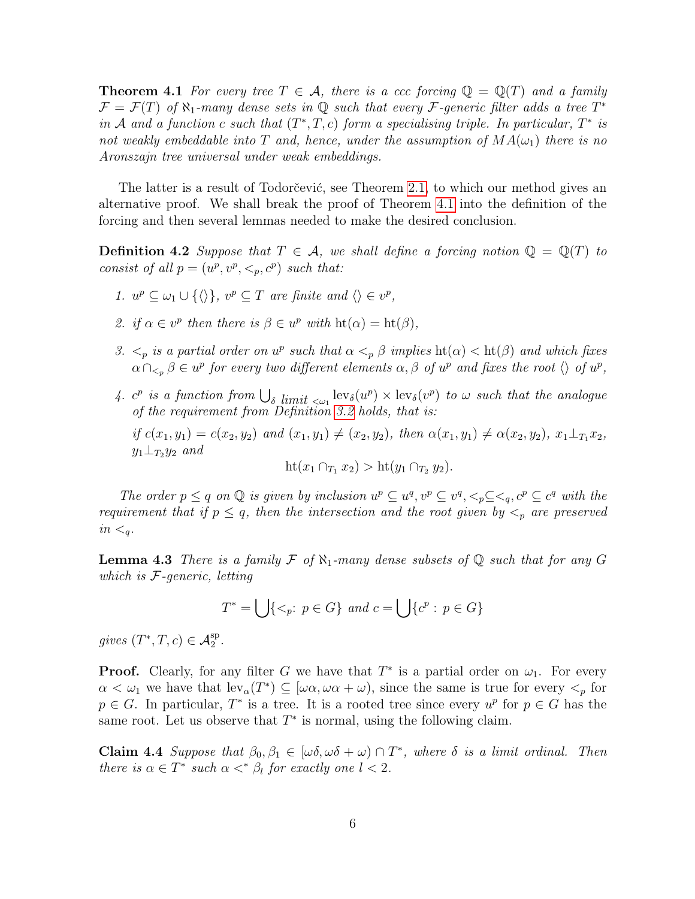**Theorem 4.1** For every tree  $T \in \mathcal{A}$ , there is a ccc forcing  $\mathbb{Q} = \mathbb{Q}(T)$  and a family  $\mathcal{F} = \mathcal{F}(T)$  of  $\aleph_1$ -many dense sets in Q such that every  $\mathcal{F}$ -generic filter adds a tree  $T^*$ in A and a function c such that  $(T^*,T,c)$  form a specialising triple. In particular,  $T^*$  is not weakly embeddable into T and, hence, under the assumption of  $MA(\omega_1)$  there is no Aronszajn tree universal under weak embeddings.

The latter is a result of Todorčević, see Theorem [2.1,](#page-2-0) to which our method gives an alternative proof. We shall break the proof of Theorem [4.1](#page-4-0) into the definition of the forcing and then several lemmas needed to make the desired conclusion.

<span id="page-5-2"></span>**Definition 4.2** Suppose that  $T \in \mathcal{A}$ , we shall define a forcing notion  $\mathbb{Q} = \mathbb{Q}(T)$  to consist of all  $p = (u^p, v^p, \leq_p, c^p)$  such that:

- 1.  $u^p \subseteq \omega_1 \cup \{ \langle \rangle \}, v^p \subseteq T$  are finite and  $\langle \rangle \in v^p$ ,
- 2. if  $\alpha \in v^p$  then there is  $\beta \in u^p$  with  $\text{ht}(\alpha) = \text{ht}(\beta)$ ,
- 3.  $\lt_p$  is a partial order on  $u^p$  such that  $\alpha \lt_p \beta$  implies  $\text{ht}(\alpha) < \text{ht}(\beta)$  and which fixes  $\alpha \cap_{\leq_p} \beta \in u^p$  for every two different elements  $\alpha, \beta$  of  $u^p$  and fixes the root  $\langle \rangle$  of  $u^p$ ,
- <span id="page-5-3"></span>4.  $c^p$  is a function from  $\bigcup_{\delta \text{ limit } < \omega_1} \text{lev}_{\delta}(u^p) \times \text{lev}_{\delta}(v^p)$  to  $\omega$  such that the analogue of the requirement from Definition [3.2](#page-3-0) holds, that is: if  $c(x_1, y_1) = c(x_2, y_2)$  and  $(x_1, y_1) \neq (x_2, y_2)$ , then  $\alpha(x_1, y_1) \neq \alpha(x_2, y_2)$ ,  $x_1 \perp_{T_1} x_2$ ,  $y_1 \perp_{T_2} y_2$  and  $\mathrm{ht}(x_1 \cap_{T_1} x_2) > \mathrm{ht}(y_1 \cap_{T_2} y_2).$

The order  $p \leq q$  on  $\mathbb Q$  is given by inclusion  $u^p \subseteq u^q, v^p \subseteq v^q, \langle p \rangle \subseteq \langle q, c^p \subseteq c^q$  with the requirement that if  $p \leq q$ , then the intersection and the root given by  $\lt_p$  are preserved  $in <sub>q</sub>$ .

<span id="page-5-1"></span>**Lemma 4.3** There is a family F of  $\aleph_1$ -many dense subsets of Q such that for any G which is  $F$ -generic, letting

 $T^* = \bigcup \{ \leq_p : p \in G \}$  and  $c = \bigcup \{ c^p : p \in G \}$ 

gives  $(T^*,T,c) \in \mathcal{A}_2^{\text{sp}}$ .

**Proof.** Clearly, for any filter G we have that  $T^*$  is a partial order on  $\omega_1$ . For every  $\alpha < \omega_1$  we have that  $lev_\alpha(T^*) \subseteq [\omega \alpha, \omega \alpha + \omega)$ , since the same is true for every  $\lt_p$  for  $p \in G$ . In particular,  $T^*$  is a tree. It is a rooted tree since every  $u^p$  for  $p \in G$  has the same root. Let us observe that  $T^*$  is normal, using the following claim.

<span id="page-5-0"></span>**Claim 4.4** Suppose that  $\beta_0, \beta_1 \in [\omega \delta, \omega \delta + \omega) \cap T^*$ , where  $\delta$  is a limit ordinal. Then there is  $\alpha \in T^*$  such  $\alpha \lt^* \beta_l$  for exactly one  $l < 2$ .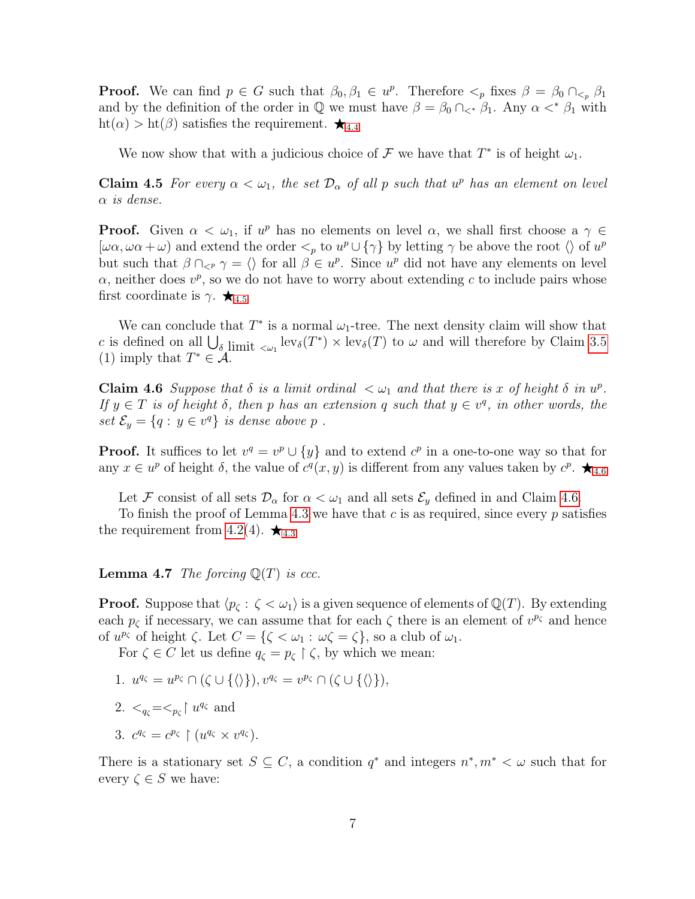**Proof.** We can find  $p \in G$  such that  $\beta_0, \beta_1 \in u^p$ . Therefore  $\lt_p$  fixes  $\beta = \beta_0 \cap \lt_p \beta_1$ and by the definition of the order in  $\mathbb Q$  we must have  $\beta = \beta_0 \cap \langle \beta_1, \beta_2 \rangle$ . Any  $\alpha \langle \beta_1 \rangle$  with  $\text{ht}(\alpha) > \text{ht}(\beta)$  satisfies the requirement.  $\bigstar_{4.4}$  $\bigstar_{4.4}$  $\bigstar_{4.4}$ 

We now show that with a judicious choice of  $\mathcal F$  we have that  $T^*$  is of height  $\omega_1$ .

<span id="page-6-0"></span>**Claim 4.5** For every  $\alpha < \omega_1$ , the set  $\mathcal{D}_{\alpha}$  of all p such that  $u^p$  has an element on level  $\alpha$  is dense.

**Proof.** Given  $\alpha < \omega_1$ , if  $u^p$  has no elements on level  $\alpha$ , we shall first choose a  $\gamma \in$  $[\omega \alpha, \omega \alpha + \omega]$  and extend the order  $\langle \omega \rangle$  to  $u^p \cup {\gamma}$  by letting  $\gamma$  be above the root  $\langle \omega \rangle$  of  $u^p$ but such that  $\beta \cap_{\leq P} \gamma = \langle \rangle$  for all  $\beta \in u^p$ . Since  $u^p$  did not have any elements on level  $\alpha$ , neither does  $v^p$ , so we do not have to worry about extending c to include pairs whose first coordinate is  $\gamma$ .  $\star$ <sub>[4](#page-6-0).5</sub>

We can conclude that  $T^*$  is a normal  $\omega_1$ -tree. The next density claim will show that c is defined on all  $\bigcup_{\delta \text{ limit } < \omega_1} \text{lev}_{\delta}(T^*) \times \text{lev}_{\delta}(T)$  to  $\omega$  and will therefore by Claim [3.5](#page-4-2) (1) imply that  $T^* \in \mathcal{A}$ .

<span id="page-6-1"></span>Claim 4.6 Suppose that  $\delta$  is a limit ordinal  $\langle \omega_1 \rangle$  and that there is x of height  $\delta$  in  $u^p$ . If  $y \in T$  is of height  $\delta$ , then p has an extension q such that  $y \in v^q$ , in other words, the set  $\mathcal{E}_y = \{q : y \in v^q\}$  is dense above p.

**Proof.** It suffices to let  $v^q = v^p \cup \{y\}$  and to extend  $c^p$  in a one-to-one way so that for any  $x \in u^p$  of height  $\delta$ , the value of  $c^q(x, y)$  is different from any values taken by  $c^p$ .  $\bigstar_{4.6}$  $\bigstar_{4.6}$  $\bigstar_{4.6}$ 

Let F consist of all sets  $\mathcal{D}_{\alpha}$  for  $\alpha < \omega_1$  and all sets  $\mathcal{E}_y$  defined in and Claim [4.6.](#page-6-1)

To finish the proof of Lemma [4](#page-5-1).3 we have that c is as required, since every  $p$  satisfies the requirement from [4.2\(](#page-5-2)[4](#page-5-1)).  $\star$ <sub>4.3</sub>

<span id="page-6-2"></span>**Lemma 4.7** The forcing  $\mathbb{Q}(T)$  is ccc.

**Proof.** Suppose that  $\langle p_{\zeta} : \zeta \langle \omega_1 \rangle$  is a given sequence of elements of  $\mathbb{Q}(T)$ . By extending each  $p_{\zeta}$  if necessary, we can assume that for each  $\zeta$  there is an element of  $v^{p_{\zeta}}$  and hence of  $u^{p_{\zeta}}$  of height  $\zeta$ . Let  $C = {\zeta \langle \omega_1 : \omega \zeta = \zeta \},$  so a club of  $\omega_1$ .

For  $\zeta \in C$  let us define  $q_{\zeta} = p_{\zeta} \upharpoonright \zeta$ , by which we mean:

- 1.  $u^{q_\zeta} = u^{p_\zeta} \cap (\zeta \cup \{\langle \rangle\}), v^{q_\zeta} = v^{p_\zeta} \cap (\zeta \cup \{\langle \rangle\}),$
- 2.  $\langle q_\zeta = \langle p_\zeta \rangle u^{q_\zeta}$  and

3. 
$$
c^{q_{\zeta}} = c^{p_{\zeta}} \upharpoonright (u^{q_{\zeta}} \times v^{q_{\zeta}}).
$$

There is a stationary set  $S \subseteq C$ , a condition  $q^*$  and integers  $n^*, m^* < \omega$  such that for every  $\zeta \in S$  we have: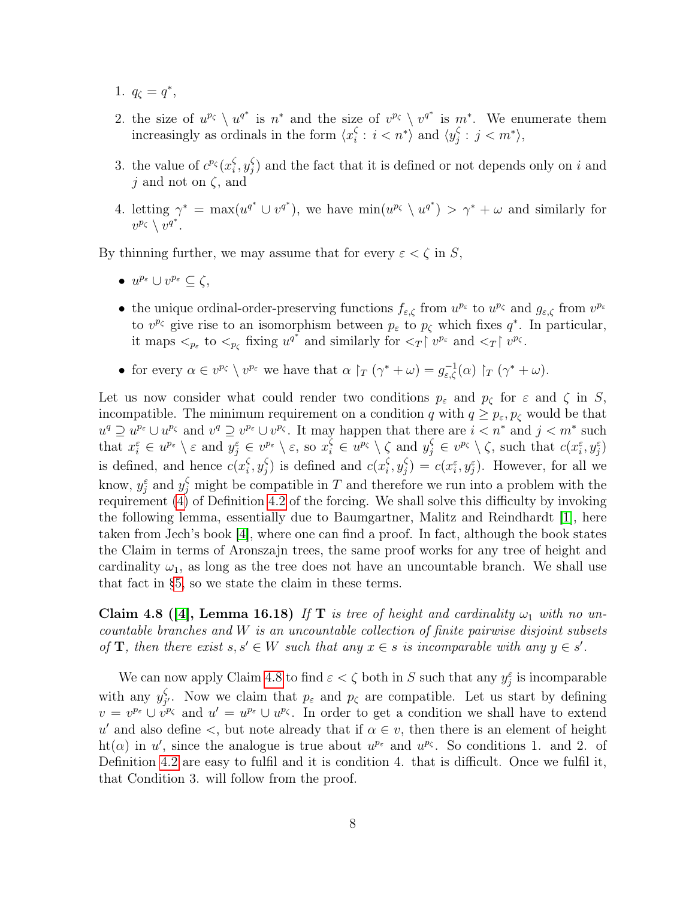- 1.  $q_{\zeta} = q^*$ ,
- 2. the size of  $u^{p_{\zeta}} \setminus u^{q^*}$  is  $n^*$  and the size of  $v^{p_{\zeta}} \setminus v^{q^*}$  is  $m^*$ . We enumerate them increasingly as ordinals in the form  $\langle x_i^{\zeta} \rangle$  $\frac{\zeta}{i}: i < n^* \rangle$  and  $\langle y_j^{\zeta} \rangle$  $j \in j < m^* \rangle$ ,
- 3. the value of  $c^{p_{\zeta}}(x_i^{\zeta})$  $_{i}^{\zeta },y_{j}^{\zeta }$  $j$ ) and the fact that it is defined or not depends only on i and j and not on  $\zeta$ , and
- 4. letting  $\gamma^* = \max(u^{q^*} \cup v^{q^*})$ , we have  $\min(u^{p_{\zeta}} \setminus u^{q^*}) > \gamma^* + \omega$  and similarly for  $v^{p_{\zeta}} \setminus v^{q^*}.$

By thinning further, we may assume that for every  $\varepsilon < \zeta$  in S,

- $u^{p_{\varepsilon}} \cup v^{p_{\varepsilon}} \subseteq \zeta$ ,
- the unique ordinal-order-preserving functions  $f_{\varepsilon,\zeta}$  from  $u^{p_{\varepsilon}}$  to  $u^{p_{\zeta}}$  and  $g_{\varepsilon,\zeta}$  from  $v^{p_{\varepsilon}}$ to  $v^{p_{\zeta}}$  give rise to an isomorphism between  $p_{\varepsilon}$  to  $p_{\zeta}$  which fixes  $q^*$ . In particular, it maps  $\langle p_{\varepsilon} \rangle$  to  $\langle p_{\zeta} \rangle$  fixing  $u^{q^*}$  and similarly for  $\langle T | v^{p_{\varepsilon}} \rangle$  and  $\langle T | v^{p_{\zeta}} \rangle$ .
- for every  $\alpha \in v^{p_{\zeta}} \setminus v^{p_{\varepsilon}}$  we have that  $\alpha \upharpoonright_T (\gamma^* + \omega) = g_{\varepsilon,\zeta}^{-1}(\alpha) \upharpoonright_T (\gamma^* + \omega)$ .

Let us now consider what could render two conditions  $p_{\varepsilon}$  and  $p_{\zeta}$  for  $\varepsilon$  and  $\zeta$  in S, incompatible. The minimum requirement on a condition q with  $q \geq p_{\varepsilon}, p_{\zeta}$  would be that  $u^q \supseteq u^{p_{\varepsilon}} \cup u^{p_{\zeta}}$  and  $v^q \supseteq v^{p_{\varepsilon}} \cup v^{p_{\zeta}}$ . It may happen that there are  $i < n^*$  and  $j < m^*$  such that  $x_i^{\varepsilon} \in u^{p_{\varepsilon}} \setminus \varepsilon$  and  $y_j^{\varepsilon} \in v^{p_{\varepsilon}} \setminus \varepsilon$ , so  $x_i^{\zeta} \in u^{p_{\zeta}} \setminus \zeta$  and  $y_j^{\zeta} \in v^{p_{\zeta}} \setminus \zeta$ , such that  $c(x_i^{\varepsilon}, y_j^{\varepsilon})$ is defined, and hence  $c(x_i^{\zeta})$  $_{i}^{\zeta },y_{j}^{\zeta }$  $g_j^{\zeta}$ ) is defined and  $c(x_i^{\zeta})$  $_{i}^{\zeta },y_{j}^{\zeta }$  $g_j^{\zeta}$ ) =  $c(x_i^{\varepsilon}, y_j^{\varepsilon})$ . However, for all we know,  $y_j^{\varepsilon}$  and  $y_j^{\zeta}$  might be compatible in T and therefore we run into a problem with the requirement [\(4\)](#page-5-3) of Definition [4.2](#page-5-2) of the forcing. We shall solve this difficulty by invoking the following lemma, essentially due to Baumgartner, Malitz and Reindhardt [\[1\]](#page-14-4), here taken from Jech's book [\[4\]](#page-14-5), where one can find a proof. In fact, although the book states the Claim in terms of Aronszajn trees, the same proof works for any tree of height and cardinality  $\omega_1$ , as long as the tree does not have an uncountable branch. We shall use that fact in [§5,](#page-8-1) so we state the claim in these terms.

<span id="page-7-0"></span>Claim 4.8 ([\[4\]](#page-14-5), Lemma 16.18) If T is tree of height and cardinality  $\omega_1$  with no uncountable branches and W is an uncountable collection of finite pairwise disjoint subsets of **T**, then there exist  $s, s' \in W$  such that any  $x \in s$  is incomparable with any  $y \in s'$ .

We can now apply Claim [4.8](#page-7-0) to find  $\varepsilon < \zeta$  both in S such that any  $y_j^{\varepsilon}$  is incomparable with any  $y_i^{\zeta}$ <sup>5</sup><sub>j</sub>. Now we claim that  $p_{\varepsilon}$  and  $p_{\zeta}$  are compatible. Let us start by defining  $v = v^{p_{\varepsilon}} \cup v^{p_{\zeta}}$  and  $u' = u^{p_{\varepsilon}} \cup u^{p_{\zeta}}$ . In order to get a condition we shall have to extend u' and also define  $\lt$ , but note already that if  $\alpha \in v$ , then there is an element of height ht( $\alpha$ ) in u', since the analogue is true about  $u^{p_{\varepsilon}}$  and  $u^{p_{\zeta}}$ . So conditions 1. and 2. of Definition [4.2](#page-5-2) are easy to fulfil and it is condition 4. that is difficult. Once we fulfil it, that Condition 3. will follow from the proof.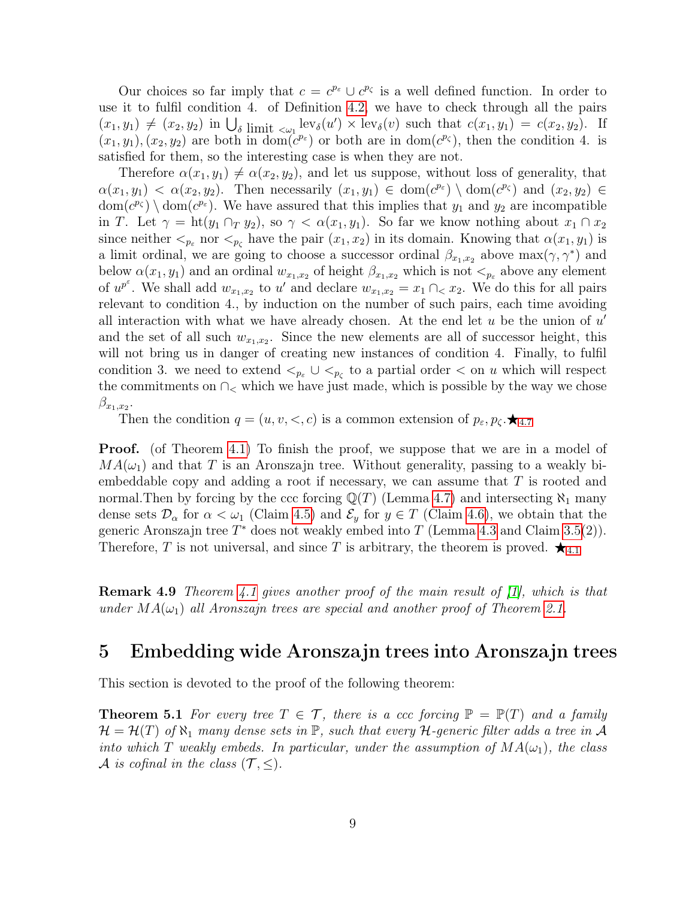Our choices so far imply that  $c = c^{p_{\varepsilon}} \cup c^{p_{\zeta}}$  is a well defined function. In order to use it to fulfil condition 4. of Definition [4.2,](#page-5-2) we have to check through all the pairs  $(x_1, y_1) \neq (x_2, y_2)$  in  $\bigcup_{\delta}$  limit  $\langle \omega_1 | \text{ev}_{\delta}(u') \times \text{lev}_{\delta}(v) \rangle$  such that  $c(x_1, y_1) = c(x_2, y_2)$ . If  $(x_1, y_1), (x_2, y_2)$  are both in dom $(c^{p_{\varepsilon}})$  or both are in dom $(c^{p_{\zeta}})$ , then the condition 4. is satisfied for them, so the interesting case is when they are not.

Therefore  $\alpha(x_1, y_1) \neq \alpha(x_2, y_2)$ , and let us suppose, without loss of generality, that  $\alpha(x_1, y_1) < \alpha(x_2, y_2)$ . Then necessarily  $(x_1, y_1) \in \text{dom}(c^{p_{\varepsilon}}) \setminus \text{dom}(c^{p_{\zeta}})$  and  $(x_2, y_2) \in$  $dom(c^{p_{\zeta}}) \setminus dom(c^{p_{\zeta}})$ . We have assured that this implies that  $y_1$  and  $y_2$  are incompatible in T. Let  $\gamma = \text{ht}(y_1 \cap_T y_2)$ , so  $\gamma < \alpha(x_1, y_1)$ . So far we know nothing about  $x_1 \cap x_2$ since neither  $\lt_{p_\varepsilon}$  nor  $\lt_{p_\varepsilon}$  have the pair  $(x_1, x_2)$  in its domain. Knowing that  $\alpha(x_1, y_1)$  is a limit ordinal, we are going to choose a successor ordinal  $\beta_{x_1,x_2}$  above  $\max(\gamma, \gamma^*)$  and below  $\alpha(x_1, y_1)$  and an ordinal  $w_{x_1, x_2}$  of height  $\beta_{x_1, x_2}$  which is not  $\langle p_{\varepsilon}$  above any element of  $u^{p^e}$ . We shall add  $w_{x_1,x_2}$  to u' and declare  $w_{x_1,x_2} = x_1 \cap \{x_2\}$ . We do this for all pairs relevant to condition 4., by induction on the number of such pairs, each time avoiding all interaction with what we have already chosen. At the end let  $u$  be the union of  $u'$ and the set of all such  $w_{x_1,x_2}$ . Since the new elements are all of successor height, this will not bring us in danger of creating new instances of condition 4. Finally, to fulfil condition 3. we need to extend  $\lt_{p_{\varepsilon}} \cup \lt_{p_{\zeta}}$  to a partial order  $\lt$  on u which will respect the commitments on  $\cap_{\leq}$  which we have just made, which is possible by the way we chose  $\beta_{x_1,x_2}$ .

Then the condition  $q = (u, v, <, c)$  is a common extension of  $p_{\varepsilon}, p_{\zeta} \star q_{4.7}$  $p_{\varepsilon}, p_{\zeta} \star q_{4.7}$  $p_{\varepsilon}, p_{\zeta} \star q_{4.7}$ 

**Proof.** (of Theorem [4.1\)](#page-4-0) To finish the proof, we suppose that we are in a model of  $MA(\omega_1)$  and that T is an Aronszajn tree. Without generality, passing to a weakly biembeddable copy and adding a root if necessary, we can assume that T is rooted and normal. Then by forcing by the ccc forcing  $\mathbb{Q}(T)$  (Lemma [4.7\)](#page-6-2) and intersecting  $\aleph_1$  many dense sets  $\mathcal{D}_{\alpha}$  for  $\alpha < \omega_1$  (Claim [4.5\)](#page-6-0) and  $\mathcal{E}_y$  for  $y \in T$  (Claim [4.6\)](#page-6-1), we obtain that the generic Aronszajn tree  $T^*$  does not weakly embed into T (Lemma [4.3](#page-5-1) and Claim [3.5\(](#page-4-2)2)). Therefore, T is not universal, and since T is arbitrary, the theorem is proved.  $\star_{4.1}$  $\star_{4.1}$  $\star_{4.1}$ 

<span id="page-8-2"></span>Remark 4.9 Theorem [4.1](#page-4-0) gives another proof of the main result of [\[1\]](#page-14-4), which is that under  $MA(\omega_1)$  all Aronszajn trees are special and another proof of Theorem [2.1.](#page-2-0)

## <span id="page-8-1"></span>5 Embedding wide Aronszajn trees into Aronszajn trees

<span id="page-8-0"></span>This section is devoted to the proof of the following theorem:

**Theorem 5.1** For every tree  $T \in \mathcal{T}$ , there is a ccc forcing  $\mathbb{P} = \mathbb{P}(T)$  and a family  $\mathcal{H} = \mathcal{H}(T)$  of  $\aleph_1$  many dense sets in  $\mathbb{P}$ , such that every H-generic filter adds a tree in A into which T weakly embeds. In particular, under the assumption of  $MA(\omega_1)$ , the class A is cofinal in the class  $(\mathcal{T}, \leq)$ .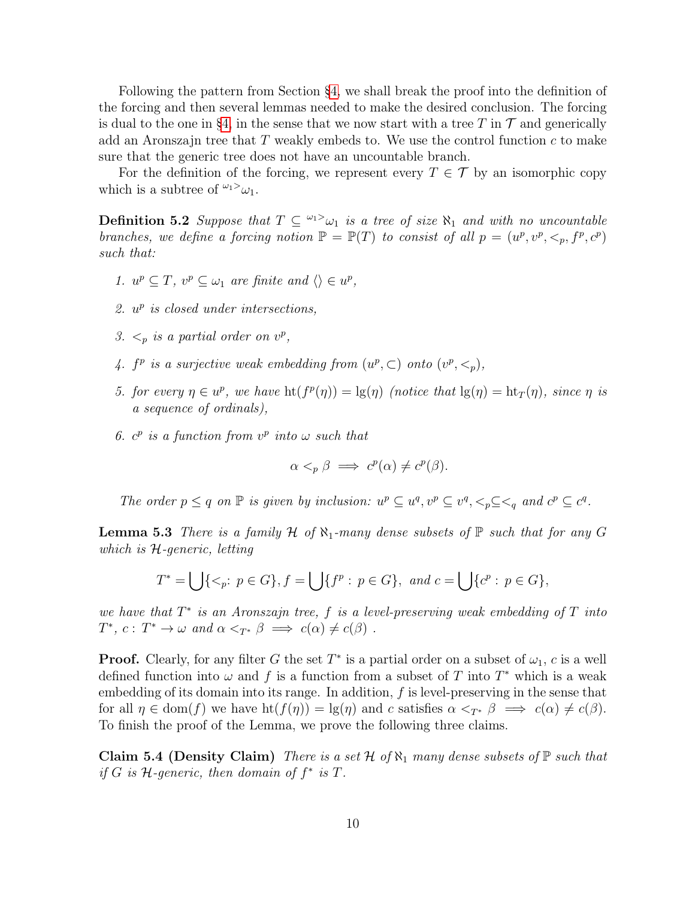Following the pattern from Section [§4,](#page-4-3) we shall break the proof into the definition of the forcing and then several lemmas needed to make the desired conclusion. The forcing is dual to the one in [§4,](#page-4-3) in the sense that we now start with a tree T in  $\mathcal T$  and generically add an Aronszajn tree that  $T$  weakly embeds to. We use the control function  $c$  to make sure that the generic tree does not have an uncountable branch.

For the definition of the forcing, we represent every  $T \in \mathcal{T}$  by an isomorphic copy which is a subtree of  $\omega_1$ <sup>2</sup> $\omega_1$ .

**Definition 5.2** Suppose that  $T \subseteq \{0, 1\}$  is a tree of size  $\aleph_1$  and with no uncountable branches, we define a forcing notion  $\mathbb{P} = \mathbb{P}(T)$  to consist of all  $p = (u^p, v^p, \leq_p, f^p, c^p)$ such that:

- 1.  $u^p \subseteq T$ ,  $v^p \subseteq \omega_1$  are finite and  $\langle \rangle \in u^p$ ,
- 2.  $u^p$  is closed under intersections,
- 3.  $\lt_p$  is a partial order on  $v^p$ ,
- 4.  $f^p$  is a surjective weak embedding from  $(u^p, \subset)$  onto  $(v^p, \leq_p)$ ,
- 5. for every  $\eta \in u^p$ , we have  $\text{ht}(f^p(\eta)) = \text{lg}(\eta)$  (notice that  $\text{lg}(\eta) = \text{ht}_T(\eta)$ , since  $\eta$  is a sequence of ordinals),
- 6.  $c^p$  is a function from  $v^p$  into  $\omega$  such that

$$
\alpha <_{p} \beta \implies c^{p}(\alpha) \neq c^{p}(\beta).
$$

The order  $p \leq q$  on  $\mathbb P$  is given by inclusion:  $u^p \subseteq u^q, v^p \subseteq v^q, \leq_p \subseteq \leq_q$  and  $c^p \subseteq c^q$ .

<span id="page-9-1"></span>**Lemma 5.3** There is a family H of  $\aleph_1$ -many dense subsets of  $\mathbb P$  such that for any G which is H-generic, letting

$$
T^* = \bigcup \{ \leq_p : p \in G \}, f = \bigcup \{ f^p : p \in G \}, \text{ and } c = \bigcup \{ c^p : p \in G \},\
$$

we have that  $T^*$  is an Aronszajn tree,  $f$  is a level-preserving weak embedding of  $T$  into  $T^*, c: T^* \to \omega \text{ and } \alpha <_{T^*} \beta \implies c(\alpha) \neq c(\beta)$ .

**Proof.** Clearly, for any filter G the set  $T^*$  is a partial order on a subset of  $\omega_1$ , c is a well defined function into  $\omega$  and f is a function from a subset of T into T<sup>\*</sup> which is a weak embedding of its domain into its range. In addition,  $f$  is level-preserving in the sense that for all  $\eta \in \text{dom}(f)$  we have  $\text{ht}(f(\eta)) = \lg(\eta)$  and c satisfies  $\alpha \leq_{T^*} \beta \implies c(\alpha) \neq c(\beta)$ . To finish the proof of the Lemma, we prove the following three claims.

<span id="page-9-0"></span>Claim 5.4 (Density Claim) There is a set  $\mathcal H$  of  $\aleph_1$  many dense subsets of  $\mathbb P$  such that if  $G$  is  $H$ -generic, then domain of  $f^*$  is  $T$ .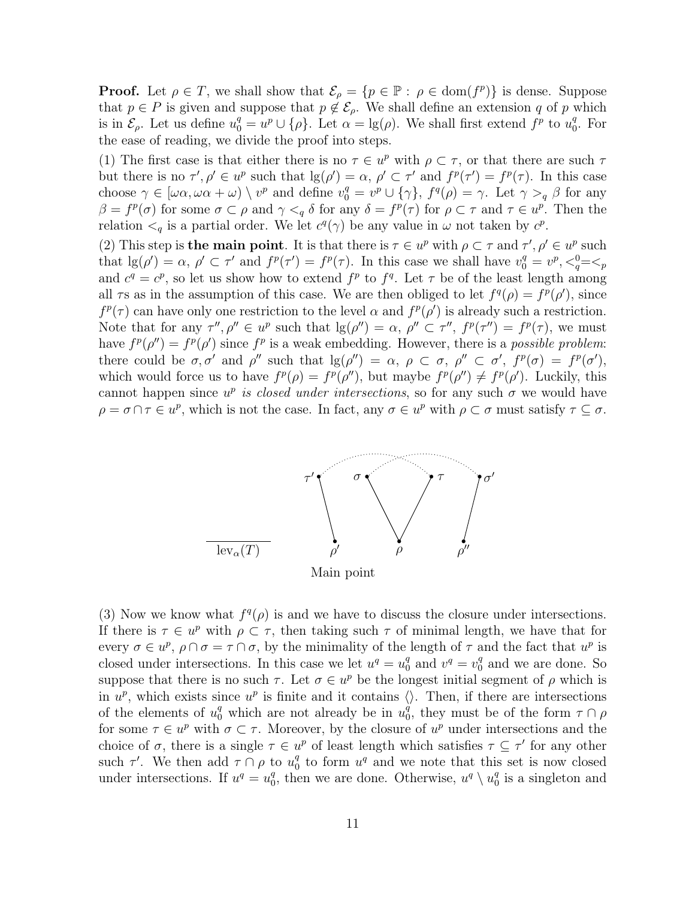**Proof.** Let  $\rho \in T$ , we shall show that  $\mathcal{E}_{\rho} = \{p \in \mathbb{P} : \rho \in \text{dom}(f^p)\}\$ is dense. Suppose that  $p \in P$  is given and suppose that  $p \notin \mathcal{E}_{\rho}$ . We shall define an extension q of p which is in  $\mathcal{E}_{\rho}$ . Let us define  $u_0^q = u^p \cup {\{\rho\}}$ . Let  $\alpha = \lg(\rho)$ . We shall first extend  $f^p$  to  $u_0^q$  $\frac{q}{0}$ . For the ease of reading, we divide the proof into steps.

(1) The first case is that either there is no  $\tau \in u^p$  with  $\rho \subset \tau$ , or that there are such  $\tau$ but there is no  $\tau', \rho' \in u^p$  such that  $\lg(\rho') = \alpha, \ \rho' \subset \tau'$  and  $f^p(\tau') = f^p(\tau)$ . In this case choose  $\gamma \in [\omega \alpha, \omega \alpha + \omega) \setminus v^p$  and define  $v_0^q = v^p \cup {\gamma}$ ,  $f^q(\rho) = \gamma$ . Let  $\gamma > q \beta$  for any  $\beta = f^p(\sigma)$  for some  $\sigma \subset \rho$  and  $\gamma <_{q} \delta$  for any  $\delta = f^p(\tau)$  for  $\rho \subset \tau$  and  $\tau \in u^p$ . Then the relation  $\lt_q$  is a partial order. We let  $c^q(\gamma)$  be any value in  $\omega$  not taken by  $c^p$ .

(2) This step is **the main point**. It is that there is  $\tau \in u^p$  with  $\rho \subset \tau$  and  $\tau', \rho' \in u^p$  such that  $\lg(\rho') = \alpha, \ \rho' \subset \tau'$  and  $f^p(\tau') = f^p(\tau)$ . In this case we shall have  $v_0^q = v^p, \langle v_0^q = \langle v \rangle$ and  $c^q = c^p$ , so let us show how to extend  $f^p$  to  $f^q$ . Let  $\tau$  be of the least length among all  $\tau$ s as in the assumption of this case. We are then obliged to let  $f^q(\rho) = f^p(\rho')$ , since  $f^p(\tau)$  can have only one restriction to the level  $\alpha$  and  $f^p(\rho')$  is already such a restriction. Note that for any  $\tau'', \rho'' \in u^p$  such that  $\lg(\rho'') = \alpha, \rho'' \subset \tau'', \text{ } f^p(\tau'') = f^p(\tau), \text{ we must}$ have  $f^p(\rho'') = f^p(\rho')$  since  $f^p$  is a weak embedding. However, there is a *possible problem*: there could be  $\sigma, \sigma'$  and  $\rho''$  such that  $\lg(\rho'') = \alpha, \ \rho \subset \sigma, \ \rho'' \subset \sigma', \ f^p(\sigma) = f^p(\sigma'),$ which would force us to have  $f^p(\rho) = f^p(\rho'')$ , but maybe  $f^p(\rho'') \neq f^p(\rho')$ . Luckily, this cannot happen since  $u^p$  is closed under intersections, so for any such  $\sigma$  we would have  $\rho = \sigma \cap \tau \in u^p$ , which is not the case. In fact, any  $\sigma \in u^p$  with  $\rho \subset \sigma$  must satisfy  $\tau \subseteq \sigma$ .



(3) Now we know what  $f^q(\rho)$  is and we have to discuss the closure under intersections. If there is  $\tau \in u^p$  with  $\rho \subset \tau$ , then taking such  $\tau$  of minimal length, we have that for every  $\sigma \in u^p$ ,  $\rho \cap \sigma = \tau \cap \sigma$ , by the minimality of the length of  $\tau$  and the fact that  $u^p$  is closed under intersections. In this case we let  $u^q = u_0^q$  $_0^q$  and  $v^q = v_0^q$  $_0^q$  and we are done. So suppose that there is no such  $\tau$ . Let  $\sigma \in u^p$  be the longest initial segment of  $\rho$  which is in  $u^p$ , which exists since  $u^p$  is finite and it contains  $\langle \rangle$ . Then, if there are intersections of the elements of  $u_0^q$  which are not already be in  $u_0^q$ <sup>q</sup>, they must be of the form  $\tau \cap \rho$ for some  $\tau \in u^p$  with  $\sigma \subset \tau$ . Moreover, by the closure of  $u^p$  under intersections and the choice of  $\sigma$ , there is a single  $\tau \in u^p$  of least length which satisfies  $\tau \subseteq \tau'$  for any other such  $\tau'$ . We then add  $\tau \cap \rho$  to  $u_0^q$  $\frac{q}{0}$  to form  $u^q$  and we note that this set is now closed under intersections. If  $u^q = u_0^q$  $\stackrel{q}{\substack{0}}$ , then we are done. Otherwise,  $u^q \setminus u_0^q$  $_0^q$  is a singleton and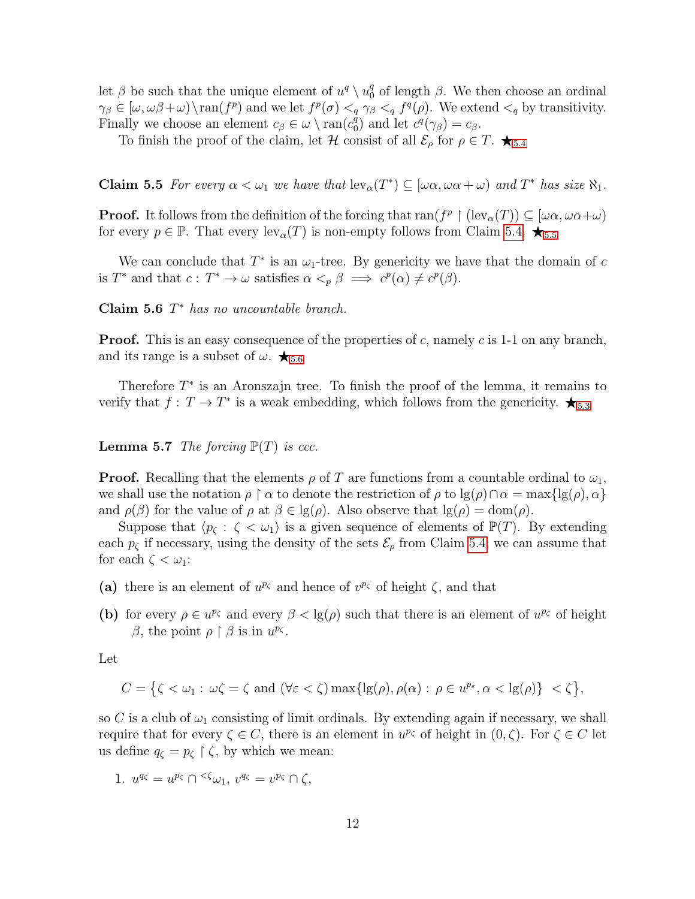let  $\beta$  be such that the unique element of  $u^q \setminus u_0^q$  $\frac{q}{0}$  of length  $\beta$ . We then choose an ordinal  $\gamma_{\beta} \in [\omega, \omega\beta + \omega] \setminus \text{ran}(f^p)$  and we let  $f^p(\sigma) <_q \gamma_{\beta} <_q f^q(\rho)$ . We extend  $\langle q \rangle$  by transitivity. Finally we choose an element  $c_{\beta} \in \omega \setminus \text{ran}(c_0^{\hat{q}})$  $c_0^q$ ) and let  $c^q(\gamma_\beta) = c_\beta$ .

To finish the proof of the claim, let H consist of all  $\mathcal{E}_{\rho}$  for  $\rho \in T$ .  $\bigstar_{5.4}$  $\bigstar_{5.4}$  $\bigstar_{5.4}$ 

<span id="page-11-0"></span>**Claim 5.5** For every  $\alpha < \omega_1$  we have that  $lev_{\alpha}(T^*) \subseteq [\omega \alpha, \omega \alpha + \omega)$  and  $T^*$  has size  $\aleph_1$ .

**Proof.** It follows from the definition of the forcing that  $\text{ran}(f^p \restriction (\text{lev}_\alpha(T)) \subseteq [\omega \alpha, \omega \alpha + \omega)$ for every  $p \in \mathbb{P}$ . That every  $lev_{\alpha}(T)$  is non-empty follows from Claim [5.4.](#page-9-0)  $\bigstar_{5.5}$  $\bigstar_{5.5}$  $\bigstar_{5.5}$ 

We can conclude that  $T^*$  is an  $\omega_1$ -tree. By genericity we have that the domain of c is  $T^*$  and that  $c: T^* \to \omega$  satisfies  $\alpha <_{p} \beta \implies c^p(\alpha) \neq c^p(\beta)$ .

<span id="page-11-1"></span>Claim  $5.6$   $T^*$  has no uncountable branch.

**Proof.** This is an easy consequence of the properties of c, namely c is 1-1 on any branch, and its range is a subset of  $\omega$ .  $\star$ <sub>[5](#page-11-1).6</sub>

Therefore  $T^*$  is an Aronszajn tree. To finish the proof of the lemma, it remains to verify that  $f: T \to T^*$  is a weak embedding, which follows from the genericity.  $\bigstar_{5.3}$  $\bigstar_{5.3}$  $\bigstar_{5.3}$ 

#### <span id="page-11-2"></span>**Lemma 5.7** The forcing  $\mathbb{P}(T)$  is ccc.

**Proof.** Recalling that the elements  $\rho$  of T are functions from a countable ordinal to  $\omega_1$ , we shall use the notation  $\rho \restriction \alpha$  to denote the restriction of  $\rho$  to  $\lg(\rho) \cap \alpha = \max\{\lg(\rho), \alpha\}$ and  $\rho(\beta)$  for the value of  $\rho$  at  $\beta \in \lg(\rho)$ . Also observe that  $\lg(\rho) = \text{dom}(\rho)$ .

Suppose that  $\langle p_{\zeta} : \zeta < \omega_1 \rangle$  is a given sequence of elements of  $\mathbb{P}(T)$ . By extending each  $p_{\zeta}$  if necessary, using the density of the sets  $\mathcal{E}_{\rho}$  from Claim [5.4,](#page-9-0) we can assume that for each  $\zeta < \omega_1$ :

- (a) there is an element of  $u^{p_{\zeta}}$  and hence of  $v^{p_{\zeta}}$  of height  $\zeta$ , and that
- (b) for every  $\rho \in u^{p_{\zeta}}$  and every  $\beta < \lg(\rho)$  such that there is an element of  $u^{p_{\zeta}}$  of height β, the point  $\rho \restriction \beta$  is in  $u^{p_\zeta}$ .

Let

$$
C = \left\{ \zeta < \omega_1 : \, \omega \zeta = \zeta \text{ and } (\forall \varepsilon < \zeta) \max \{ \lg(\rho), \rho(\alpha) : \, \rho \in u^{p_{\varepsilon}}, \alpha < \lg(\rho) \} \, < \zeta \right\},
$$

so C is a club of  $\omega_1$  consisting of limit ordinals. By extending again if necessary, we shall require that for every  $\zeta \in C$ , there is an element in  $u^{p_{\zeta}}$  of height in  $(0, \zeta)$ . For  $\zeta \in C$  let us define  $q_{\zeta} = p_{\zeta} \upharpoonright \zeta$ , by which we mean:

1. 
$$
u^{q_{\zeta}} = u^{p_{\zeta}} \cap {}^{<\zeta}\omega_1, v^{q_{\zeta}} = v^{p_{\zeta}} \cap \zeta,
$$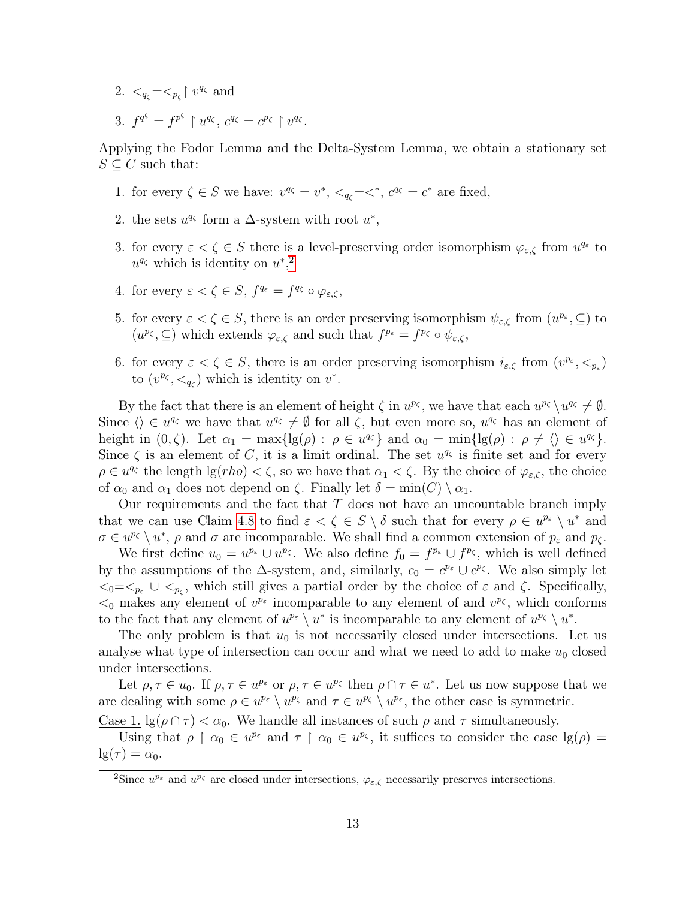- 2.  $\langle q_\zeta = \langle p_\zeta | v^{q_\zeta} \rangle$  and
- 3.  $f^{q^{\zeta}} = f^{p^{\zeta}} \restriction u^{q_{\zeta}}, c^{q_{\zeta}} = c^{p_{\zeta}} \restriction v^{q_{\zeta}}.$

Applying the Fodor Lemma and the Delta-System Lemma, we obtain a stationary set  $S \subset C$  such that:

- 1. for every  $\zeta \in S$  we have:  $v^{q_{\zeta}} = v^*$ ,  $\langle q_{\zeta} = \langle e^{q_{\zeta}} \rangle = c^*$  are fixed,
- 2. the sets  $u^{q_\zeta}$  form a  $\Delta$ -system with root  $u^*$ ,
- 3. for every  $\varepsilon < \zeta \in S$  there is a level-preserving order isomorphism  $\varphi_{\varepsilon,\zeta}$  from  $u^{q_{\varepsilon}}$  to  $u^{q_{\zeta}}$  which is identity on  $u^*$ <sup>[2](#page-12-0)</sup>
- 4. for every  $\varepsilon < \zeta \in S$ ,  $f^{q_{\varepsilon}} = f^{q_{\zeta}} \circ \varphi_{\varepsilon,\zeta}$ ,
- 5. for every  $\varepsilon < \zeta \in S$ , there is an order preserving isomorphism  $\psi_{\varepsilon,\zeta}$  from  $(u^{p_{\varepsilon}}, \subseteq)$  to  $(u^{p_{\zeta}}, \subseteq)$  which extends  $\varphi_{\varepsilon,\zeta}$  and such that  $f^{p_{\varepsilon}} = f^{p_{\zeta}} \circ \psi_{\varepsilon,\zeta}$ ,
- 6. for every  $\varepsilon < \zeta \in S$ , there is an order preserving isomorphism  $i_{\varepsilon,\zeta}$  from  $(v^{p_{\varepsilon}}, <_{p_{\varepsilon}})$ to  $(v^{p_{\zeta}}, <_{q_{\zeta}})$  which is identity on  $v^*$ .

By the fact that there is an element of height  $\zeta$  in  $u^{p_{\zeta}}$ , we have that each  $u^{p_{\zeta}} \setminus u^{q_{\zeta}} \neq \emptyset$ . Since  $\langle \rangle \in u^{q_{\zeta}}$  we have that  $u^{q_{\zeta}} \neq \emptyset$  for all  $\zeta$ , but even more so,  $u^{q_{\zeta}}$  has an element of height in  $(0, \zeta)$ . Let  $\alpha_1 = \max\{ \lg(\rho) : \rho \in u^{q_{\zeta}} \}$  and  $\alpha_0 = \min\{ \lg(\rho) : \rho \neq \langle \rangle \in u^{q_{\zeta}} \}$ . Since  $\zeta$  is an element of C, it is a limit ordinal. The set  $u^{q_{\zeta}}$  is finite set and for every  $\rho \in u^{q_\zeta}$  the length  $\lg(rho) < \zeta$ , so we have that  $\alpha_1 < \zeta$ . By the choice of  $\varphi_{\varepsilon,\zeta}$ , the choice of  $\alpha_0$  and  $\alpha_1$  does not depend on  $\zeta$ . Finally let  $\delta = \min(C) \setminus \alpha_1$ .

Our requirements and the fact that  $T$  does not have an uncountable branch imply that we can use Claim [4.8](#page-7-0) to find  $\varepsilon < \zeta \in S \setminus \delta$  such that for every  $\rho \in u^{p_{\varepsilon}} \setminus u^*$  and  $\sigma \in u^{p_{\zeta}} \setminus u^*, \rho \text{ and } \sigma \text{ are incomparable. We shall find a common extension of } p_{\varepsilon} \text{ and } p_{\zeta}.$ 

We first define  $u_0 = u^{p_{\varepsilon}} \cup u^{p_{\zeta}}$ . We also define  $f_0 = f^{p_{\varepsilon}} \cup f^{p_{\zeta}}$ , which is well defined by the assumptions of the  $\Delta$ -system, and, similarly,  $c_0 = c^{p_{\varepsilon}} \cup c^{p_{\zeta}}$ . We also simply let  $\langle 0| \langle \xi_0| \xi_0 \rangle = \langle \xi_0| \xi_0 \rangle$  which still gives a partial order by the choice of  $\varepsilon$  and  $\zeta$ . Specifically,  $\lt_0$  makes any element of  $v^{p_{\varepsilon}}$  incomparable to any element of and  $v^{p_{\zeta}}$ , which conforms to the fact that any element of  $u^{p_{\varepsilon}} \setminus u^*$  is incomparable to any element of  $u^{p_{\zeta}} \setminus u^*$ .

The only problem is that  $u_0$  is not necessarily closed under intersections. Let us analyse what type of intersection can occur and what we need to add to make  $u_0$  closed under intersections.

Let  $\rho, \tau \in u_0$ . If  $\rho, \tau \in u^{p_{\varepsilon}}$  or  $\rho, \tau \in u^{p_{\zeta}}$  then  $\rho \cap \tau \in u^*$ . Let us now suppose that we are dealing with some  $\rho \in u^{p_{\varepsilon}} \setminus u^{p_{\varepsilon}}$  and  $\tau \in u^{p_{\varepsilon}} \setminus u^{p_{\varepsilon}}$ , the other case is symmetric.

Case 1.  $\lg(\rho \cap \tau) < \alpha_0$ . We handle all instances of such  $\rho$  and  $\tau$  simultaneously.

Using that  $\rho \restriction \alpha_0 \in u^{p_{\varepsilon}}$  and  $\tau \restriction \alpha_0 \in u^{p_{\zeta}}$ , it suffices to consider the case  $\lg(\rho) =$  $\lg(\tau) = \alpha_0$ .

<span id="page-12-0"></span><sup>&</sup>lt;sup>2</sup>Since  $u^{p_{\varepsilon}}$  and  $u^{p_{\zeta}}$  are closed under intersections,  $\varphi_{\varepsilon,\zeta}$  necessarily preserves intersections.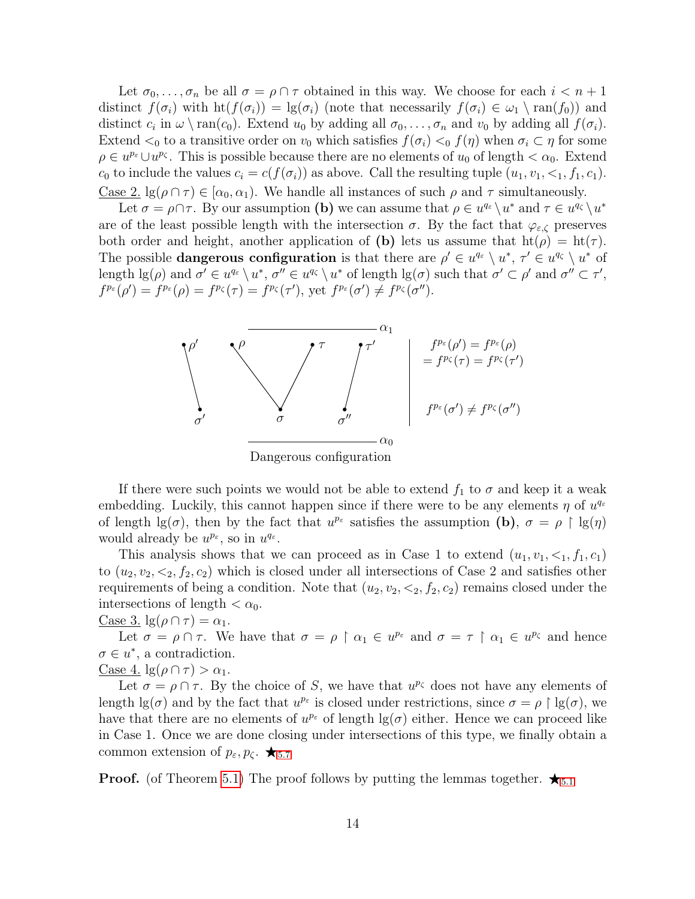Let  $\sigma_0, \ldots, \sigma_n$  be all  $\sigma = \rho \cap \tau$  obtained in this way. We choose for each  $i < n + 1$ distinct  $f(\sigma_i)$  with  $\text{ht}(f(\sigma_i)) = \lg(\sigma_i)$  (note that necessarily  $f(\sigma_i) \in \omega_1 \setminus \text{ran}(f_0)$ ) and distinct  $c_i$  in  $\omega \setminus \text{ran}(c_0)$ . Extend  $u_0$  by adding all  $\sigma_0, \ldots, \sigma_n$  and  $v_0$  by adding all  $f(\sigma_i)$ . Extend  $\lt_0$  to a transitive order on  $v_0$  which satisfies  $f(\sigma_i) \lt_0 f(\eta)$  when  $\sigma_i \subset \eta$  for some  $\rho \in u^{p_{\varepsilon}} \cup u^{p_{\zeta}}$ . This is possible because there are no elements of  $u_0$  of length  $\langle \alpha_0, \xi \rangle$ .  $c_0$  to include the values  $c_i = c(f(\sigma_i))$  as above. Call the resulting tuple  $(u_1, v_1, \leq_1, f_1, c_1)$ . Case 2.  $\lg(\rho \cap \tau) \in [\alpha_0, \alpha_1]$ . We handle all instances of such  $\rho$  and  $\tau$  simultaneously.

Let  $\sigma = \rho \cap \tau$ . By our assumption (b) we can assume that  $\rho \in u^{q_{\varepsilon}} \setminus u^*$  and  $\tau \in u^{q_{\zeta}} \setminus u^*$ are of the least possible length with the intersection  $\sigma$ . By the fact that  $\varphi_{\varepsilon,\zeta}$  preserves both order and height, another application of (b) lets us assume that  $ht(\rho) = ht(\tau)$ . The possible **dangerous configuration** is that there are  $\rho' \in u^{q_{\varepsilon}} \setminus u^*, \tau' \in u^{q_{\zeta}} \setminus u^*$  of length  $\lg(\rho)$  and  $\sigma' \in u^{q_{\varepsilon}} \setminus u^*, \sigma'' \in u^{q_{\zeta}} \setminus u^*$  of length  $\lg(\sigma)$  such that  $\sigma' \subset \rho'$  and  $\sigma'' \subset \tau'$ ,  $f^{p_{\varepsilon}}(\rho') = f^{p_{\varepsilon}}(\rho) = f^{p_{\zeta}}(\tau) = f^{p_{\zeta}}(\tau'),$  yet  $f^{p_{\varepsilon}}(\sigma') \neq f^{p_{\zeta}}(\sigma'').$ 



Dangerous configuration

If there were such points we would not be able to extend  $f_1$  to  $\sigma$  and keep it a weak embedding. Luckily, this cannot happen since if there were to be any elements  $\eta$  of  $u^{q_{\varepsilon}}$ of length  $\lg(\sigma)$ , then by the fact that  $u^{p_{\varepsilon}}$  satisfies the assumption (b),  $\sigma = \rho \restriction \lg(\eta)$ would already be  $u^{p_{\varepsilon}}$ , so in  $u^{q_{\varepsilon}}$ .

This analysis shows that we can proceed as in Case 1 to extend  $(u_1, v_1, \leq_1, f_1, c_1)$ to  $(u_2, v_2, \leq_2, f_2, c_2)$  which is closed under all intersections of Case 2 and satisfies other requirements of being a condition. Note that  $(u_2, v_2, \langle 2, f_2, c_2 \rangle)$  remains closed under the intersections of length  $< \alpha_0$ .

#### Case 3.  $\lg(\rho \cap \tau) = \alpha_1$ .

Let  $\sigma = \rho \cap \tau$ . We have that  $\sigma = \rho \restriction \alpha_1 \in u^{p_{\varepsilon}}$  and  $\sigma = \tau \restriction \alpha_1 \in u^{p_{\zeta}}$  and hence  $\sigma \in u^*$ , a contradiction.

Case 4.  $\lg(\rho \cap \tau) > \alpha_1$ .

Let  $\sigma = \rho \cap \tau$ . By the choice of S, we have that  $u^{p_{\zeta}}$  does not have any elements of length  $\lg(\sigma)$  and by the fact that  $u^{p_{\varepsilon}}$  is closed under restrictions, since  $\sigma = \rho \restriction \lg(\sigma)$ , we have that there are no elements of  $u^{p_{\varepsilon}}$  of length  $\lg(\sigma)$  either. Hence we can proceed like in Case 1. Once we are done closing under intersections of this type, we finally obtain a common extension of  $p_{\varepsilon}, p_{\zeta}$ .  $\star$ <sub>[5](#page-11-2).7</sub>

**Proof.** (of Theorem [5.1\)](#page-8-0) The proof follows by putting the lemmas together.  $\star_{5.1}$  $\star_{5.1}$  $\star_{5.1}$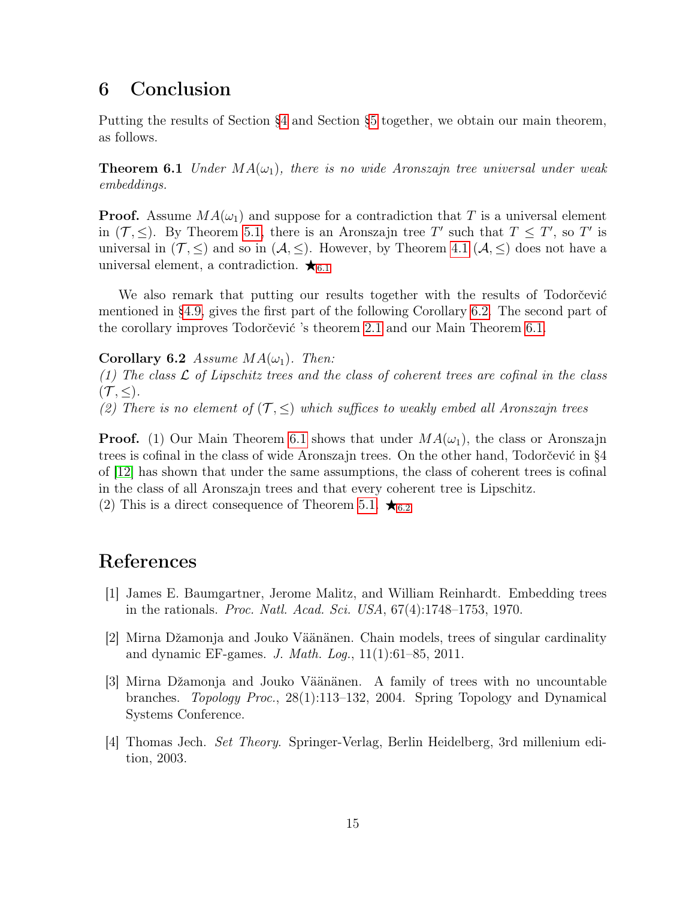## 6 Conclusion

Putting the results of Section [§4](#page-4-3) and Section [§5](#page-8-1) together, we obtain our main theorem, as follows.

<span id="page-14-1"></span>**Theorem 6.1** Under  $MA(\omega_1)$ , there is no wide Aronszajn tree universal under weak embeddings.

**Proof.** Assume  $MA(\omega_1)$  and suppose for a contradiction that T is a universal element in  $(T, \leq)$ . By Theorem [5.1,](#page-8-0) there is an Aronszajn tree T' such that  $T \leq T'$ , so T' is universal in  $(\mathcal{T}, \leq)$  and so in  $(\mathcal{A}, \leq)$ . However, by Theorem [4.1](#page-4-0)  $(\mathcal{A}, \leq)$  does not have a universal element, a contradiction.  $\star$ <sub>[6](#page-14-1).1</sub>

We also remark that putting our results together with the results of Todorčević mentioned in [§4.9,](#page-8-2) gives the first part of the following Corollary [6.2.](#page-14-2) The second part of the corollary improves Todorčević 's theorem [2.1](#page-2-0) and our Main Theorem [6.1.](#page-14-1)

<span id="page-14-2"></span>Corollary 6.2 Assume  $MA(\omega_1)$ . Then:

(1) The class  $\mathcal L$  of Lipschitz trees and the class of coherent trees are cofinal in the class  $({\cal T},\leq).$ 

(2) There is no element of  $(\mathcal{T}, \leq)$  which suffices to weakly embed all Aronszajn trees

**Proof.** (1) Our Main Theorem [6.1](#page-14-1) shows that under  $MA(\omega_1)$ , the class or Aronszajn trees is cofinal in the class of wide Aronszajn trees. On the other hand, Todorčević in §4 of [\[12\]](#page-15-1) has shown that under the same assumptions, the class of coherent trees is cofinal in the class of all Aronszajn trees and that every coherent tree is Lipschitz.

(2) This is a direct consequence of Theorem [5.1.](#page-8-0)  $\star$ <sub>[6](#page-14-2).2</sub>

## References

- <span id="page-14-4"></span>[1] James E. Baumgartner, Jerome Malitz, and William Reinhardt. Embedding trees in the rationals. Proc. Natl. Acad. Sci. USA, 67(4):1748–1753, 1970.
- <span id="page-14-3"></span>[2] Mirna Džamonja and Jouko Väänänen. Chain models, trees of singular cardinality and dynamic EF-games. J. Math. Log., 11(1):61–85, 2011.
- <span id="page-14-0"></span>[3] Mirna Džamonja and Jouko Väänänen. A family of trees with no uncountable branches. Topology Proc., 28(1):113–132, 2004. Spring Topology and Dynamical Systems Conference.
- <span id="page-14-5"></span>[4] Thomas Jech. Set Theory. Springer-Verlag, Berlin Heidelberg, 3rd millenium edition, 2003.